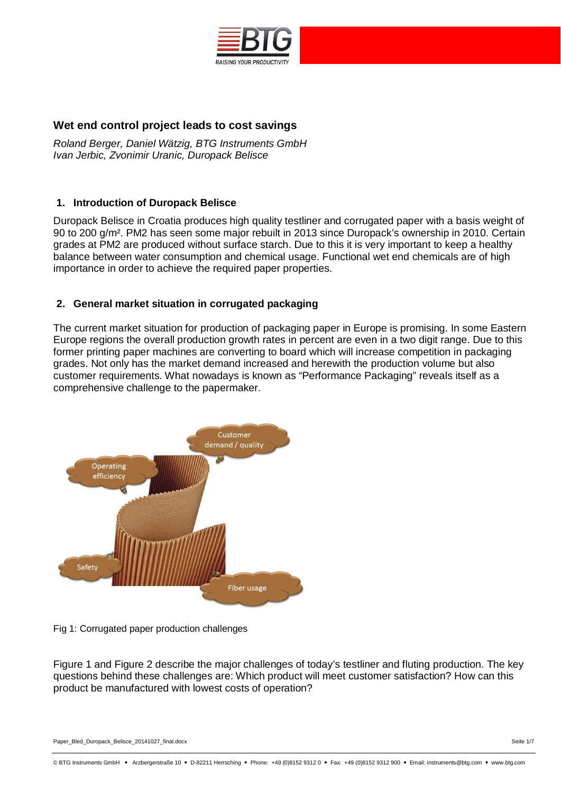

# **Wet end control project leads to cost savings**

*Roland Berger, Daniel Wätzig, BTG Instruments GmbH Ivan Jerbic, Zvonimir Uranic, Duropack Belisce*

## **1. Introduction of Duropack Belisce**

Duropack Belisce in Croatia produces high quality testliner and corrugated paper with a basis weight of 90 to 200 g/m². PM2 has seen some major rebuilt in 2013 since Duropack's ownership in 2010. Certain grades at PM2 are produced without surface starch. Due to this it is very important to keep a healthy balance between water consumption and chemical usage. Functional wet end chemicals are of high importance in order to achieve the required paper properties.

## **2. General market situation in corrugated packaging**

The current market situation for production of packaging paper in Europe is promising. In some Eastern Europe regions the overall production growth rates in percent are even in a two digit range. Due to this former printing paper machines are converting to board which will increase competition in packaging grades. Not only has the market demand increased and herewith the production volume but also customer requirements. What nowadays is known as "Performance Packaging" reveals itself as a comprehensive challenge to the papermaker.



Fig 1: Corrugated paper production challenges

Figure 1 and Figure 2 describe the major challenges of today's testliner and fluting production. The key questions behind these challenges are: Which product will meet customer satisfaction? How can this product be manufactured with lowest costs of operation?

Paper\_Bled\_Duropack\_Belisce\_20141027\_final.docx Seite 1/7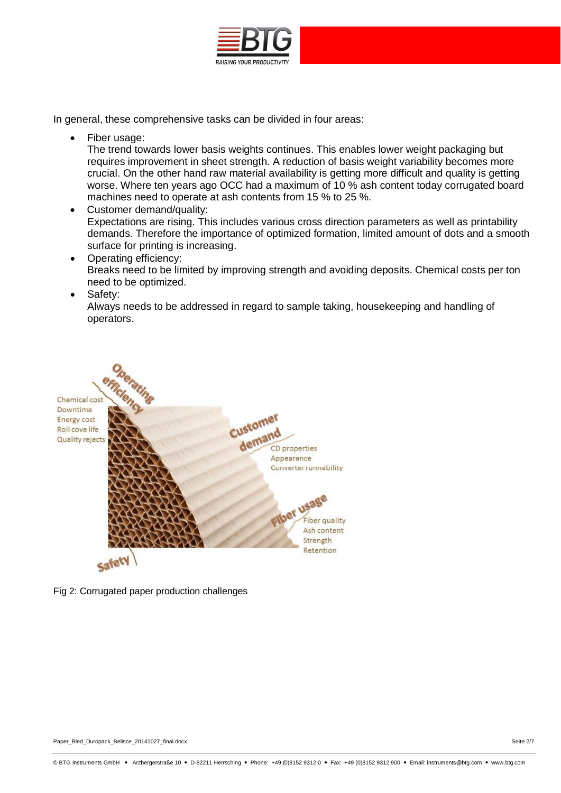

In general, these comprehensive tasks can be divided in four areas:

Fiber usage:

The trend towards lower basis weights continues. This enables lower weight packaging but requires improvement in sheet strength. A reduction of basis weight variability becomes more crucial. On the other hand raw material availability is getting more difficult and quality is getting worse. Where ten years ago OCC had a maximum of 10 % ash content today corrugated board machines need to operate at ash contents from 15 % to 25 %.

· Customer demand/quality: Expectations are rising. This includes various cross direction parameters as well as printability demands. Therefore the importance of optimized formation, limited amount of dots and a smooth surface for printing is increasing.

- Operating efficiency: Breaks need to be limited by improving strength and avoiding deposits. Chemical costs per ton need to be optimized.
- · Safety:

Always needs to be addressed in regard to sample taking, housekeeping and handling of operators.



Fig 2: Corrugated paper production challenges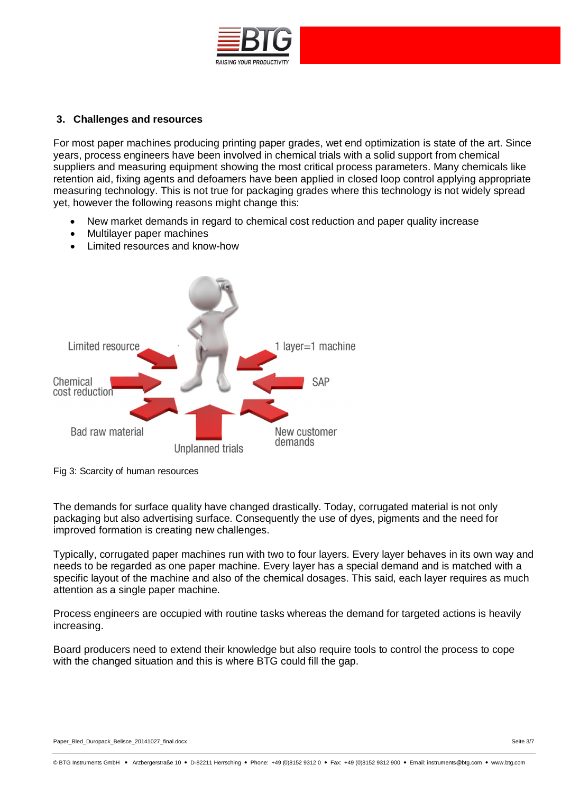

### **3. Challenges and resources**

For most paper machines producing printing paper grades, wet end optimization is state of the art. Since years, process engineers have been involved in chemical trials with a solid support from chemical suppliers and measuring equipment showing the most critical process parameters. Many chemicals like retention aid, fixing agents and defoamers have been applied in closed loop control applying appropriate measuring technology. This is not true for packaging grades where this technology is not widely spread yet, however the following reasons might change this:

- New market demands in regard to chemical cost reduction and paper quality increase
- Multilayer paper machines
- Limited resources and know-how



Fig 3: Scarcity of human resources

The demands for surface quality have changed drastically. Today, corrugated material is not only packaging but also advertising surface. Consequently the use of dyes, pigments and the need for improved formation is creating new challenges.

Typically, corrugated paper machines run with two to four layers. Every layer behaves in its own way and needs to be regarded as one paper machine. Every layer has a special demand and is matched with a specific layout of the machine and also of the chemical dosages. This said, each layer requires as much attention as a single paper machine.

Process engineers are occupied with routine tasks whereas the demand for targeted actions is heavily increasing.

Board producers need to extend their knowledge but also require tools to control the process to cope with the changed situation and this is where BTG could fill the gap.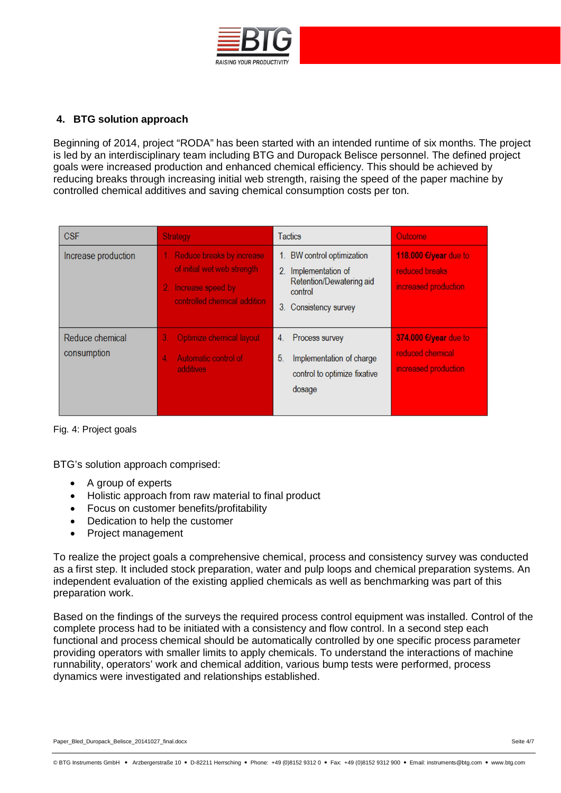

# **4. BTG solution approach**

Beginning of 2014, project "RODA" has been started with an intended runtime of six months. The project is led by an interdisciplinary team including BTG and Duropack Belisce personnel. The defined project goals were increased production and enhanced chemical efficiency. This should be achieved by reducing breaks through increasing initial web strength, raising the speed of the paper machine by controlled chemical additives and saving chemical consumption costs per ton.

| <b>CSF</b>                     | <b>Strategy</b>                                                                                                  | <b>Tactics</b>                                                                                                                   | Outcome                                                           |
|--------------------------------|------------------------------------------------------------------------------------------------------------------|----------------------------------------------------------------------------------------------------------------------------------|-------------------------------------------------------------------|
| Increase production            | Reduce breaks by increase<br>of initial wet web strength<br>2. Increase speed by<br>controlled chemical addition | BW control optimization<br>1.<br>Implementation of<br>$2_{-}$<br>Retention/Dewatering aid<br>control<br>3.<br>Consistency survey | 118.000 €/year due to<br>reduced breaks<br>increased production   |
| Reduce chemical<br>consumption | Optimize chemical layout<br>3.<br>Automatic control of<br>4<br>additives                                         | Process survey<br>4.<br>5 <sub>1</sub><br>Implementation of charge<br>control to optimize fixative<br>dosage                     | 374.000 €/year due to<br>reduced chemical<br>increased production |

Fig. 4: Project goals

BTG's solution approach comprised:

- · A group of experts
- · Holistic approach from raw material to final product
- · Focus on customer benefits/profitability
- · Dedication to help the customer
- · Project management

To realize the project goals a comprehensive chemical, process and consistency survey was conducted as a first step. It included stock preparation, water and pulp loops and chemical preparation systems. An independent evaluation of the existing applied chemicals as well as benchmarking was part of this preparation work.

Based on the findings of the surveys the required process control equipment was installed. Control of the complete process had to be initiated with a consistency and flow control. In a second step each functional and process chemical should be automatically controlled by one specific process parameter providing operators with smaller limits to apply chemicals. To understand the interactions of machine runnability, operators' work and chemical addition, various bump tests were performed, process dynamics were investigated and relationships established.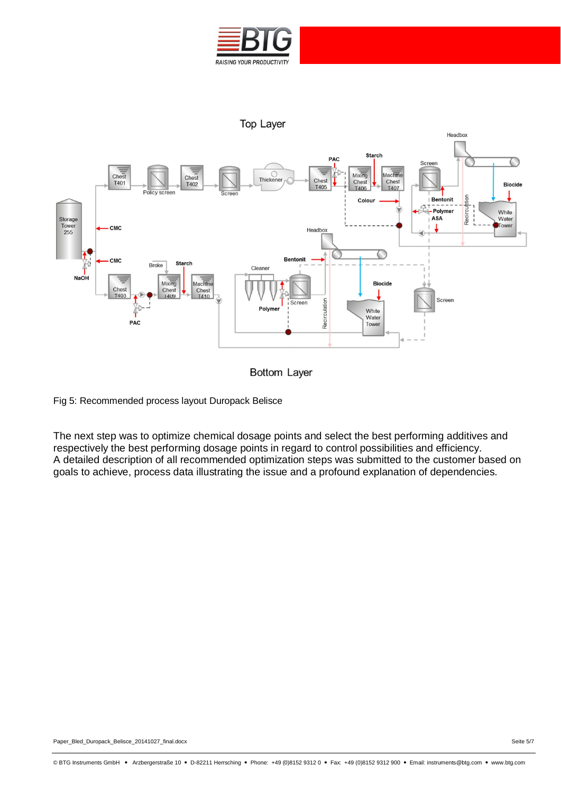



**Bottom Layer** 

Fig 5: Recommended process layout Duropack Belisce

The next step was to optimize chemical dosage points and select the best performing additives and respectively the best performing dosage points in regard to control possibilities and efficiency. A detailed description of all recommended optimization steps was submitted to the customer based on goals to achieve, process data illustrating the issue and a profound explanation of dependencies.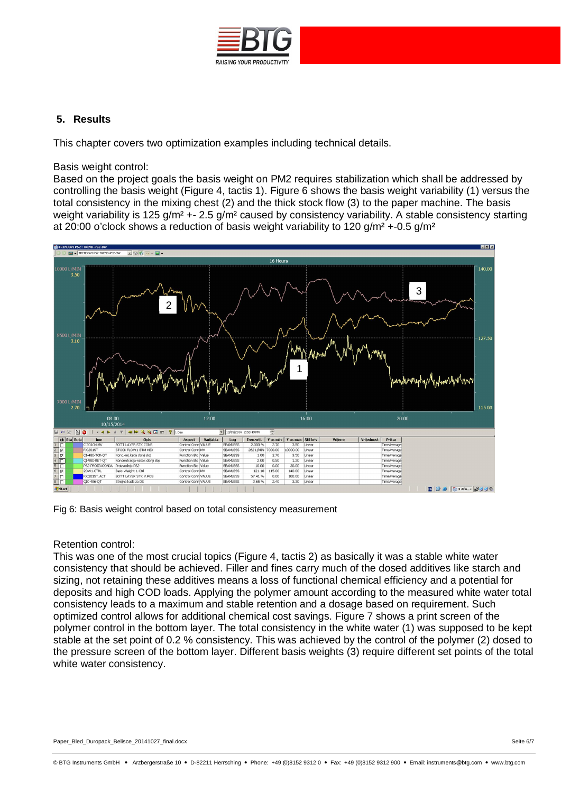

## **5. Results**

This chapter covers two optimization examples including technical details.

#### Basis weight control:

Based on the project goals the basis weight on PM2 requires stabilization which shall be addressed by controlling the basis weight (Figure 4, tactis 1). Figure 6 shows the basis weight variability (1) versus the total consistency in the mixing chest (2) and the thick stock flow (3) to the paper machine. The basis weight variability is 125 g/m<sup>2</sup> +- 2.5 g/m<sup>2</sup> caused by consistency variability. A stable consistency starting at 20:00 o'clock shows a reduction of basis weight variability to 120 g/m<sup>2</sup> +-0.5 g/m<sup>2</sup>



Fig 6: Basis weight control based on total consistency measurement

## Retention control:

This was one of the most crucial topics (Figure 4, tactis 2) as basically it was a stable white water consistency that should be achieved. Filler and fines carry much of the dosed additives like starch and sizing, not retaining these additives means a loss of functional chemical efficiency and a potential for deposits and high COD loads. Applying the polymer amount according to the measured white water total consistency leads to a maximum and stable retention and a dosage based on requirement. Such optimized control allows for additional chemical cost savings. Figure 7 shows a print screen of the polymer control in the bottom layer. The total consistency in the white water (1) was supposed to be kept stable at the set point of 0.2 % consistency. This was achieved by the control of the polymer (2) dosed to the pressure screen of the bottom layer. Different basis weights (3) require different set points of the total white water consistency.